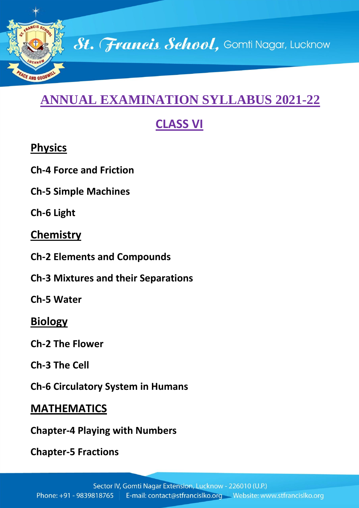

# **ANNUAL EXAMINATION SYLLABUS 2021-22**

# **CLASS VI**

# **Physics**

**Ch-4 Force and Friction**

**Ch-5 Simple Machines**

**Ch-6 Light**

#### **Chemistry**

- **Ch-2 Elements and Compounds**
- **Ch-3 Mixtures and their Separations**

**Ch-5 Water**

## **Biology**

**Ch-2 The Flower**

**Ch-3 The Cell**

**Ch-6 Circulatory System in Humans**

# **MATHEMATICS**

**Chapter-4 Playing with Numbers**

**Chapter-5 Fractions**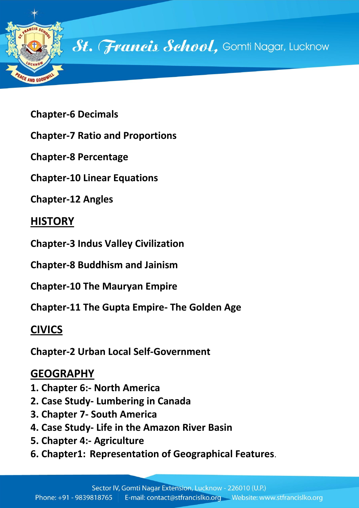

**Chapter-6 Decimals**

**Chapter-7 Ratio and Proportions**

**Chapter-8 Percentage**

**Chapter-10 Linear Equations**

**Chapter-12 Angles**

### **HISTORY**

**Chapter-3 Indus Valley Civilization**

**Chapter-8 Buddhism and Jainism**

**Chapter-10 The Mauryan Empire**

**Chapter-11 The Gupta Empire- The Golden Age**

## **CIVICS**

**Chapter-2 Urban Local Self-Government**

#### **GEOGRAPHY**

- **1. Chapter 6:- North America**
- **2. Case Study- Lumbering in Canada**
- **3. Chapter 7- South America**
- **4. Case Study- Life in the Amazon River Basin**
- **5. Chapter 4:- Agriculture**
- **6. Chapter1: Representation of Geographical Features**.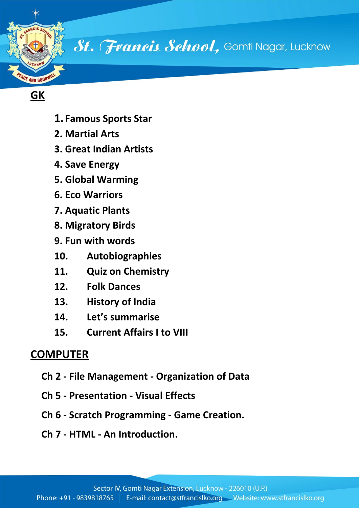

St. Francis School, Gomti Nagar, Lucknow

#### **GK**

- **1. Famous Sports Star**
- **2. Martial Arts**
- **3. Great Indian Artists**
- **4. Save Energy**
- **5. Global Warming**
- **6. Eco Warriors**
- **7. Aquatic Plants**
- **8. Migratory Birds**
- **9. Fun with words**
- **10. Autobiographies**
- **11. Quiz on Chemistry**
- **12. Folk Dances**
- **13. History of India**
- **14. Let's summarise**
- **15. Current Affairs I to VIII**

#### **COMPUTER**

- **Ch 2 - File Management - Organization of Data**
- **Ch 5 - Presentation - Visual Effects**
- **Ch 6 - Scratch Programming - Game Creation.**
- **Ch 7 - HTML - An Introduction.**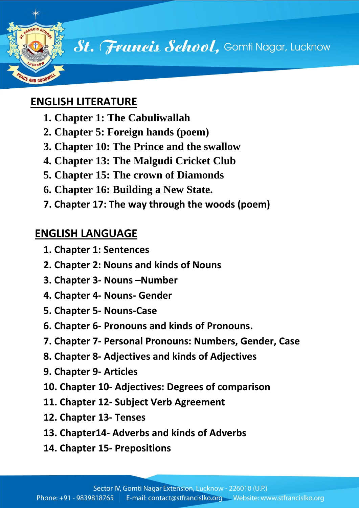

St. Francis School, Gomti Nagar, Lucknow

#### **ENGLISH LITERATURE**

- **1. Chapter 1: The Cabuliwallah**
- **2. Chapter 5: Foreign hands (poem)**
- **3. Chapter 10: The Prince and the swallow**
- **4. Chapter 13: The Malgudi Cricket Club**
- **5. Chapter 15: The crown of Diamonds**
- **6. Chapter 16: Building a New State.**
- **7. Chapter 17: The way through the woods (poem)**

# **ENGLISH LANGUAGE**

- **1. Chapter 1: Sentences**
- **2. Chapter 2: Nouns and kinds of Nouns**
- **3. Chapter 3- Nouns –Number**
- **4. Chapter 4- Nouns- Gender**
- **5. Chapter 5- Nouns-Case**
- **6. Chapter 6- Pronouns and kinds of Pronouns.**
- **7. Chapter 7- Personal Pronouns: Numbers, Gender, Case**
- **8. Chapter 8- Adjectives and kinds of Adjectives**
- **9. Chapter 9- Articles**
- **10. Chapter 10- Adjectives: Degrees of comparison**
- **11. Chapter 12- Subject Verb Agreement**
- **12. Chapter 13- Tenses**
- **13. Chapter14- Adverbs and kinds of Adverbs**
- **14. Chapter 15- Prepositions**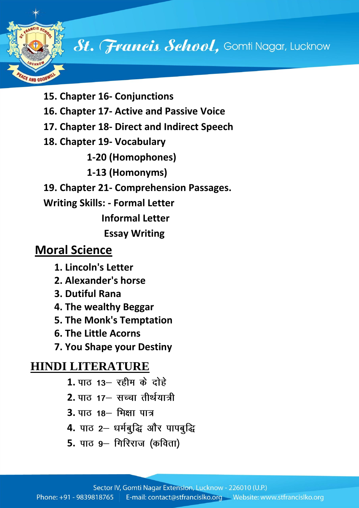# FAND GOOD

# St. Francis School, Gomti Nagar, Lucknow

- **15. Chapter 16- Conjunctions**
- **16. Chapter 17- Active and Passive Voice**
- **17. Chapter 18- Direct and Indirect Speech**
- **18. Chapter 19- Vocabulary**
	- **1-20 (Homophones)**
	- **1-13 (Homonyms)**
- **19. Chapter 21- Comprehension Passages.**
- **Writing Skills: - Formal Letter**

 **Informal Letter**

 **Essay Writing**

# **Moral Science**

- **1. Lincoln's Letter**
- **2. Alexander's horse**
- **3. Dutiful Rana**
- **4. The wealthy Beggar**
- **5. The Monk's Temptation**
- **6. The Little Acorns**
- **7. You Shape your Destiny**

## **HINDI LITERATURE**

- 1. पाठ 13– रहीम के दोहे
- 2. पाठ 17– सच्चा तीर्थयात्री
- **3.** पाठ 18 मिक्षा पात्र
- 4. पाठ 2- धर्मबुद्धि और पापबुद्धि
- **5.** पाठ 9– गिरिराज (कविता)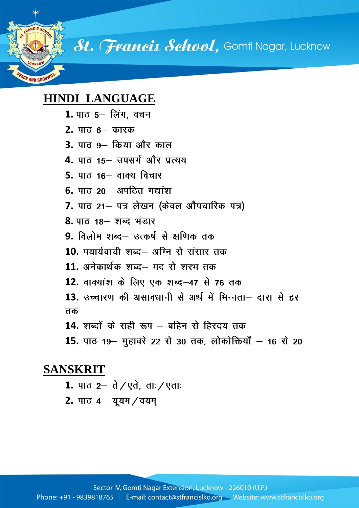St. Francis School, Gomti Nagar, Lucknow

#### **HINDI LANGUAGE**

**AND GOOT** 

- 1. पाठ 5– लिंग, वचन
- **2.**
- **3.**
- **4.** पाठ 15– उपसर्ग और प्रत्यय
- **5.**
- **6.**
- 7. पाठ 21– पत्र लेखन (केवल औपचारिक पत्र)
- 8. पाठ 18– शब्द भंडार
- 9. विलोम शब्द– उत्कर्ष से क्षणिक तक
- 10. पयार्यवाची शब्द– अग्नि से संसार तक
- **11.**
- **12.**
- **13.** तक
- 14. शब्दों के सही रूप बहिन से हिरदय तक
- 15. पाठ 19– मुहावरे 22 से 30 तक, लोकोक्तियाँ 16 से 20

#### **SANSKRIT**

- 1. पाठ 2– ते / एते, ताः / एताः
- 2. पाठ 4– यूयम / वयम्